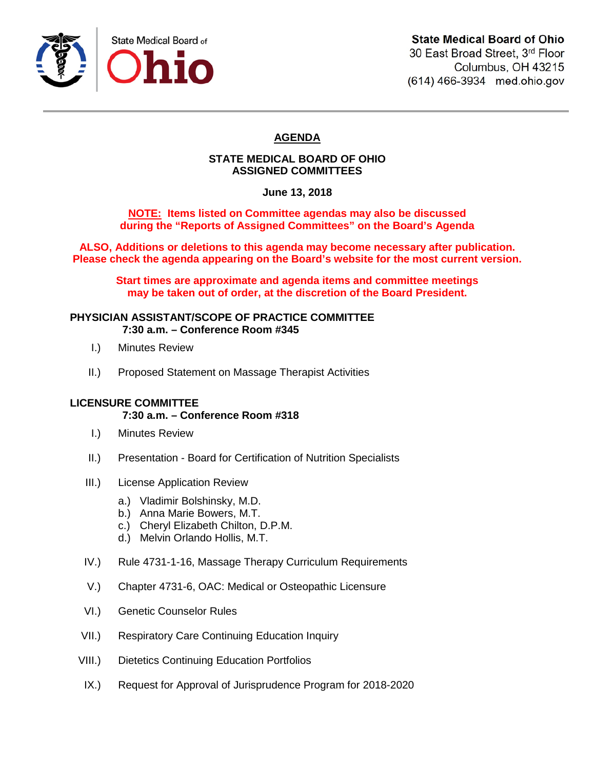

30 East Broad Street, 3rd Floor Columbus, OH 43215 (614) 466-3934 med.ohio.gov

# **AGENDA**

# **STATE MEDICAL BOARD OF OHIO ASSIGNED COMMITTEES**

**June 13, 2018**

**NOTE: Items listed on Committee agendas may also be discussed during the "Reports of Assigned Committees" on the Board's Agenda**

**ALSO, Additions or deletions to this agenda may become necessary after publication. Please check the agenda appearing on the Board's website for the most current version.**

**Start times are approximate and agenda items and committee meetings may be taken out of order, at the discretion of the Board President.**

#### **PHYSICIAN ASSISTANT/SCOPE OF PRACTICE COMMITTEE 7:30 a.m. – Conference Room #345**

- I.) Minutes Review
- II.) Proposed Statement on Massage Therapist Activities

## **LICENSURE COMMITTEE**

## **7:30 a.m. – Conference Room #318**

- I.) Minutes Review
- II.) Presentation Board for Certification of Nutrition Specialists
- III.) License Application Review
	- a.) Vladimir Bolshinsky, M.D.
	- b.) Anna Marie Bowers, M.T.
	- c.) Cheryl Elizabeth Chilton, D.P.M.
	- d.) Melvin Orlando Hollis, M.T.
- IV.) Rule 4731-1-16, Massage Therapy Curriculum Requirements
- V.) Chapter 4731-6, OAC: Medical or Osteopathic Licensure
- VI.) Genetic Counselor Rules
- VII.) Respiratory Care Continuing Education Inquiry
- VIII.) Dietetics Continuing Education Portfolios
- IX.) Request for Approval of Jurisprudence Program for 2018-2020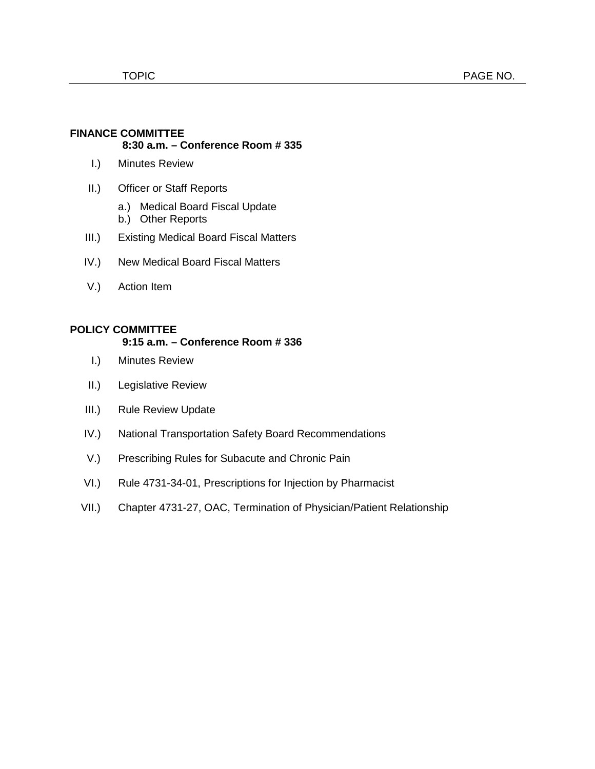### **FINANCE COMMITTEE 8:30 a.m. – Conference Room # 335**

- I.) Minutes Review
- II.) Officer or Staff Reports
	- a.) Medical Board Fiscal Update
	- b.) Other Reports
- III.) Existing Medical Board Fiscal Matters
- IV.) New Medical Board Fiscal Matters
- V.) Action Item

### **POLICY COMMITTEE**

## **9:15 a.m. – Conference Room # 336**

- I.) Minutes Review
- II.) Legislative Review
- III.) Rule Review Update
- IV.) National Transportation Safety Board Recommendations
- V.) Prescribing Rules for Subacute and Chronic Pain
- VI.) Rule 4731-34-01, Prescriptions for Injection by Pharmacist
- VII.) Chapter 4731-27, OAC, Termination of Physician/Patient Relationship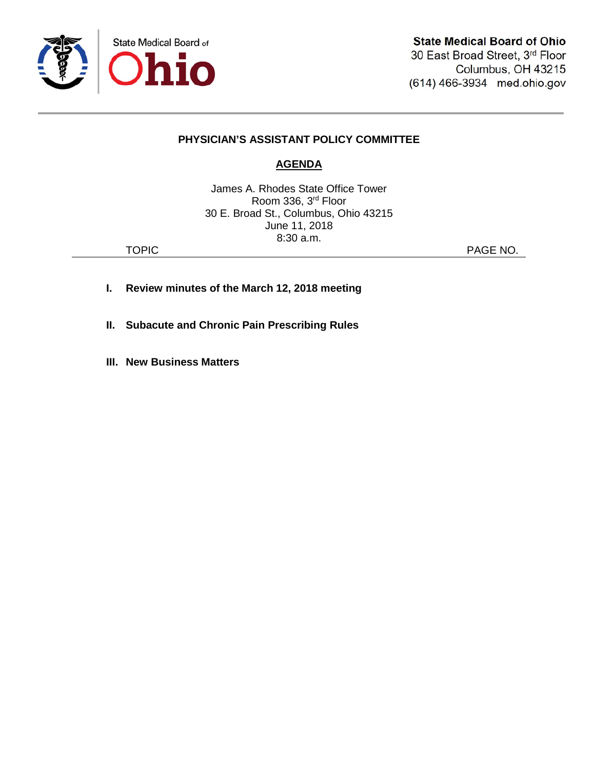

# **PHYSICIAN'S ASSISTANT POLICY COMMITTEE**

# **AGENDA**

James A. Rhodes State Office Tower Room 336, 3rd Floor 30 E. Broad St., Columbus, Ohio 43215 June 11, 2018 8:30 a.m.

TOPIC **PAGE NO.** 

- **I. Review minutes of the March 12, 2018 meeting**
- **II. Subacute and Chronic Pain Prescribing Rules**
- **III. New Business Matters**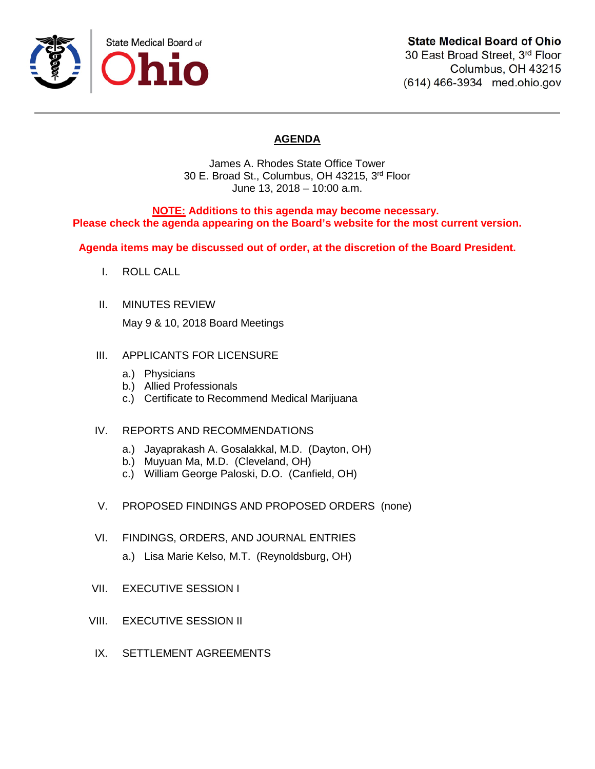

(614) 466-3934 med.ohio.gov

# **AGENDA**

James A. Rhodes State Office Tower 30 E. Broad St., Columbus, OH 43215, 3rd Floor June 13, 2018 – 10:00 a.m.

### **NOTE: Additions to this agenda may become necessary. Please check the agenda appearing on the Board's website for the most current version.**

**Agenda items may be discussed out of order, at the discretion of the Board President.**

- I. ROLL CALL
- II. MINUTES REVIEW

May 9 & 10, 2018 Board Meetings

#### III. APPLICANTS FOR LICENSURE

- a.) Physicians
- b.) Allied Professionals
- c.) Certificate to Recommend Medical Marijuana

### IV. REPORTS AND RECOMMENDATIONS

- a.) Jayaprakash A. Gosalakkal, M.D. (Dayton, OH)
- b.) Muyuan Ma, M.D. (Cleveland, OH)
- c.) William George Paloski, D.O. (Canfield, OH)
- V. PROPOSED FINDINGS AND PROPOSED ORDERS (none)
- VI. FINDINGS, ORDERS, AND JOURNAL ENTRIES
	- a.) Lisa Marie Kelso, M.T. (Reynoldsburg, OH)
- VII. EXECUTIVE SESSION I
- VIII. EXECUTIVE SESSION II
- IX. SETTLEMENT AGREEMENTS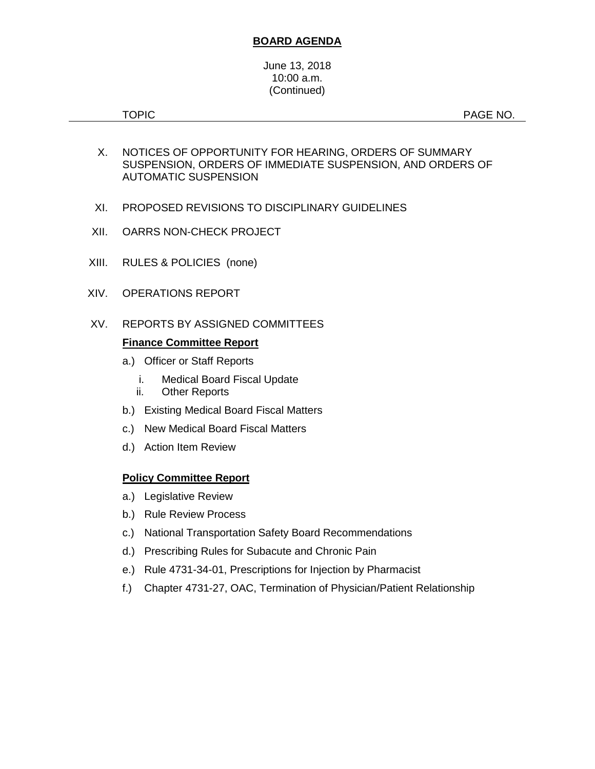## **BOARD AGENDA**

#### June 13, 2018 10:00 a.m. (Continued)

TOPIC **Example 2012 12:20 PAGE NO.** 

- X. NOTICES OF OPPORTUNITY FOR HEARING, ORDERS OF SUMMARY SUSPENSION, ORDERS OF IMMEDIATE SUSPENSION, AND ORDERS OF AUTOMATIC SUSPENSION
- XI. PROPOSED REVISIONS TO DISCIPLINARY GUIDELINES
- XII. OARRS NON-CHECK PROJECT
- XIII. RULES & POLICIES (none)
- XIV. OPERATIONS REPORT
- XV. REPORTS BY ASSIGNED COMMITTEES

## **Finance Committee Report**

- a.) Officer or Staff Reports
	- i. Medical Board Fiscal Update
	- ii. Other Reports
- b.) Existing Medical Board Fiscal Matters
- c.) New Medical Board Fiscal Matters
- d.) Action Item Review

## **Policy Committee Report**

- a.) Legislative Review
- b.) Rule Review Process
- c.) National Transportation Safety Board Recommendations
- d.) Prescribing Rules for Subacute and Chronic Pain
- e.) Rule 4731-34-01, Prescriptions for Injection by Pharmacist
- f.) Chapter 4731-27, OAC, Termination of Physician/Patient Relationship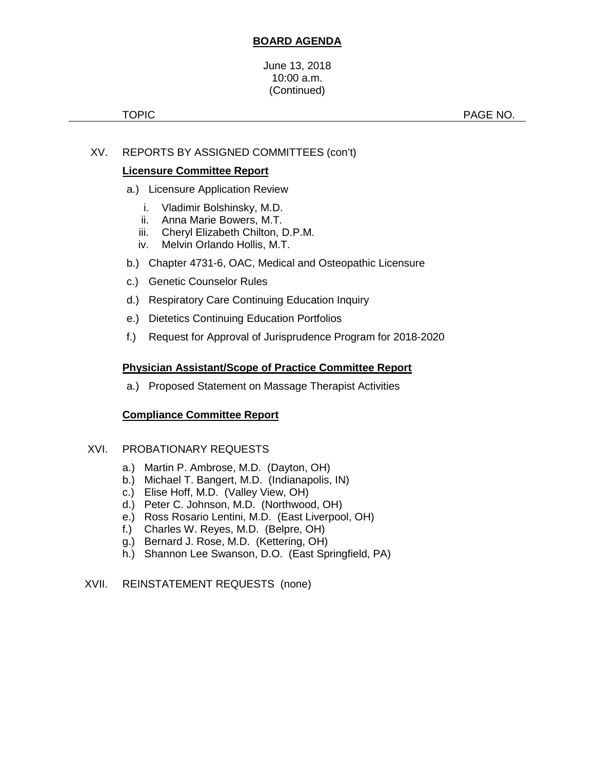# **BOARD AGENDA**

#### June 13, 2018 10:00 a.m. (Continued)

# XV. REPORTS BY ASSIGNED COMMITTEES (con't)

# **Licensure Committee Report**

- a.) Licensure Application Review
	- i. Vladimir Bolshinsky, M.D.
	- ii. Anna Marie Bowers, M.T.
	- iii. Cheryl Elizabeth Chilton, D.P.M.
	- iv. Melvin Orlando Hollis, M.T.
- b.) Chapter 4731-6, OAC, Medical and Osteopathic Licensure
- c.) Genetic Counselor Rules
- d.) Respiratory Care Continuing Education Inquiry
- e.) Dietetics Continuing Education Portfolios
- f.) Request for Approval of Jurisprudence Program for 2018-2020

# **Physician Assistant/Scope of Practice Committee Report**

a.) Proposed Statement on Massage Therapist Activities

## **Compliance Committee Report**

## XVI. PROBATIONARY REQUESTS

- a.) Martin P. Ambrose, M.D. (Dayton, OH)
- b.) Michael T. Bangert, M.D. (Indianapolis, IN)
- c.) Elise Hoff, M.D. (Valley View, OH)
- d.) Peter C. Johnson, M.D. (Northwood, OH)
- e.) Ross Rosario Lentini, M.D. (East Liverpool, OH)
- f.) Charles W. Reyes, M.D. (Belpre, OH)
- g.) Bernard J. Rose, M.D. (Kettering, OH)
- h.) Shannon Lee Swanson, D.O. (East Springfield, PA)

## XVII. REINSTATEMENT REQUESTS (none)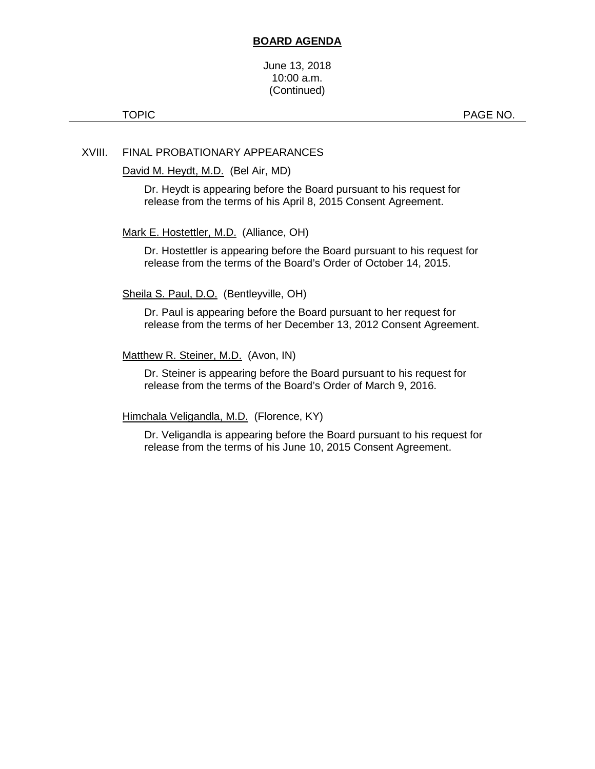#### **BOARD AGENDA**

#### June 13, 2018 10:00 a.m. (Continued)

TOPIC **PAGE NO.** 

## XVIII. FINAL PROBATIONARY APPEARANCES

David M. Heydt, M.D. (Bel Air, MD)

Dr. Heydt is appearing before the Board pursuant to his request for release from the terms of his April 8, 2015 Consent Agreement.

#### Mark E. Hostettler, M.D. (Alliance, OH)

Dr. Hostettler is appearing before the Board pursuant to his request for release from the terms of the Board's Order of October 14, 2015.

#### Sheila S. Paul, D.O. (Bentleyville, OH)

Dr. Paul is appearing before the Board pursuant to her request for release from the terms of her December 13, 2012 Consent Agreement.

#### Matthew R. Steiner, M.D. (Avon, IN)

Dr. Steiner is appearing before the Board pursuant to his request for release from the terms of the Board's Order of March 9, 2016.

Himchala Veligandla, M.D. (Florence, KY)

Dr. Veligandla is appearing before the Board pursuant to his request for release from the terms of his June 10, 2015 Consent Agreement.